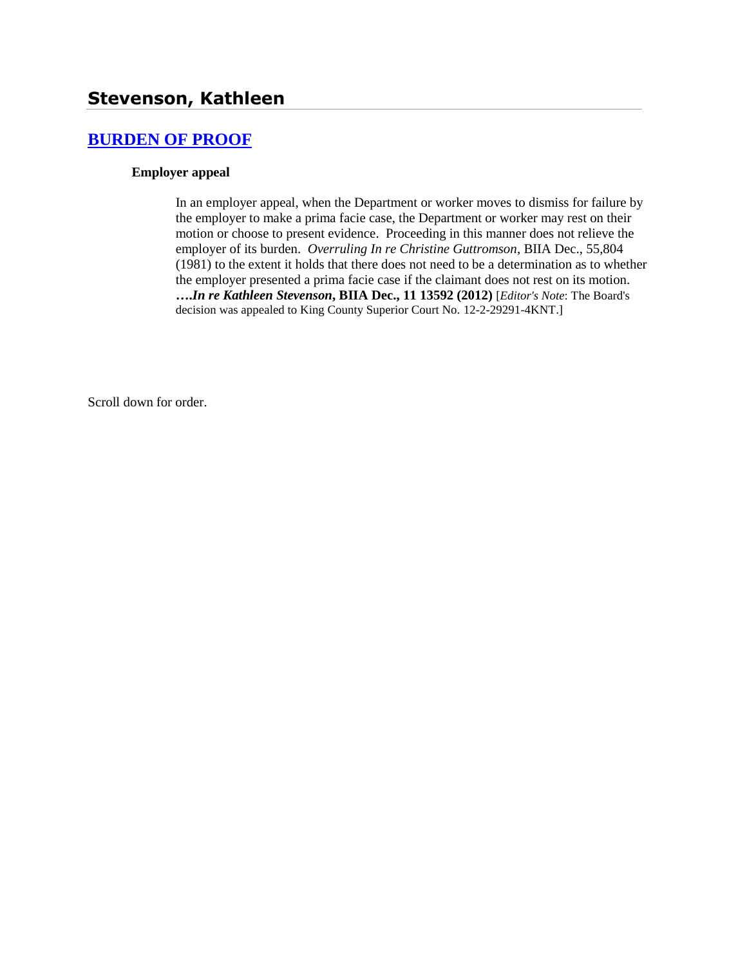## **[BURDEN OF PROOF](http://www.biia.wa.gov/SDSubjectIndex.html#BURDEN_OF_PROOF)**

## **Employer appeal**

In an employer appeal, when the Department or worker moves to dismiss for failure by the employer to make a prima facie case, the Department or worker may rest on their motion or choose to present evidence. Proceeding in this manner does not relieve the employer of its burden. *Overruling In re Christine Guttromson*, BIIA Dec., 55,804 (1981) to the extent it holds that there does not need to be a determination as to whether the employer presented a prima facie case if the claimant does not rest on its motion. **….***In re Kathleen Stevenson***, BIIA Dec., 11 13592 (2012)** [*Editor's Note*: The Board's decision was appealed to King County Superior Court No. 12-2-29291-4KNT.]

Scroll down for order.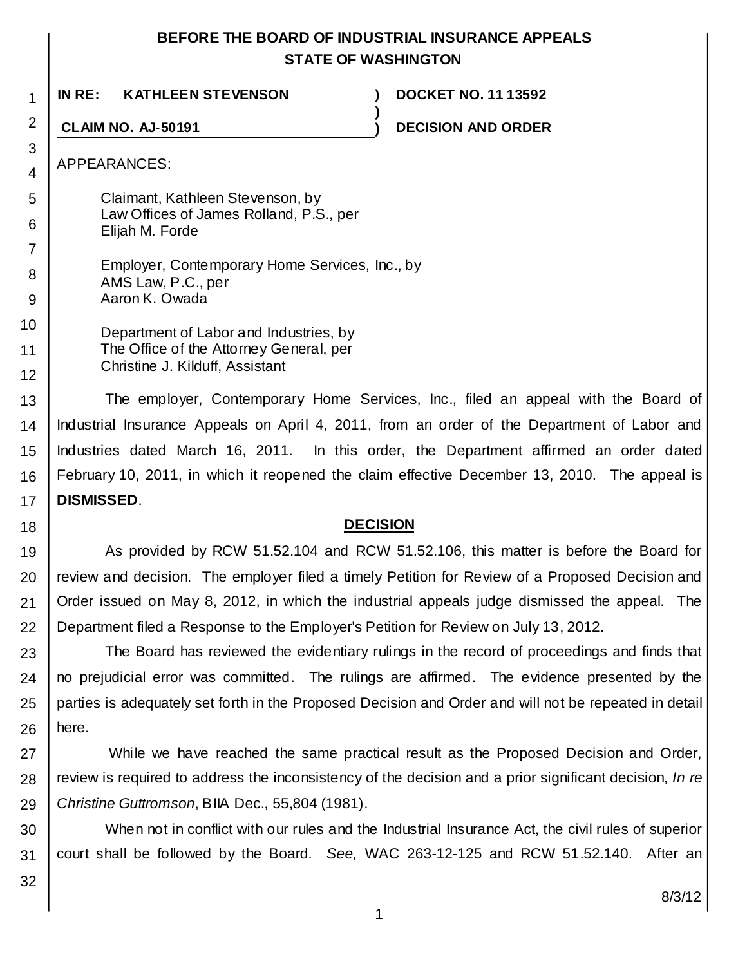## **BEFORE THE BOARD OF INDUSTRIAL INSURANCE APPEALS STATE OF WASHINGTON**

**)**

**IN RE: KATHLEEN STEVENSON ) DOCKET NO. 11 13592**

**CLAIM NO. AJ-50191 ) DECISION AND ORDER**

APPEARANCES:

1

2

3 4

5

6

18

Claimant, Kathleen Stevenson, by Law Offices of James Rolland, P.S., per Elijah M. Forde

7 8 9 Employer, Contemporary Home Services, Inc., by AMS Law, P.C., per Aaron K. Owada

10 11 12 Department of Labor and Industries, by The Office of the Attorney General, per Christine J. Kilduff, Assistant

13 14 15 16 17 The employer, Contemporary Home Services, Inc., filed an appeal with the Board of Industrial Insurance Appeals on April 4, 2011, from an order of the Department of Labor and Industries dated March 16, 2011. In this order, the Department affirmed an order dated February 10, 2011, in which it reopened the claim effective December 13, 2010. The appeal is **DISMISSED**.

## **DECISION**

19 20 21 22 As provided by RCW 51.52.104 and RCW 51.52.106, this matter is before the Board for review and decision. The employer filed a timely Petition for Review of a Proposed Decision and Order issued on May 8, 2012, in which the industrial appeals judge dismissed the appeal. The Department filed a Response to the Employer's Petition for Review on July 13, 2012.

23 24 25 26 The Board has reviewed the evidentiary rulings in the record of proceedings and finds that no prejudicial error was committed. The rulings are affirmed. The evidence presented by the parties is adequately set forth in the Proposed Decision and Order and will not be repeated in detail here.

27 28 29 While we have reached the same practical result as the Proposed Decision and Order, review is required to address the inconsistency of the decision and a prior significant decision, *In re Christine Guttromson*, BIIA Dec., 55,804 (1981).

30 31 When not in conflict with our rules and the Industrial Insurance Act, the civil rules of superior court shall be followed by the Board. *See,* WAC 263-12-125 and RCW 51.52.140. After an

32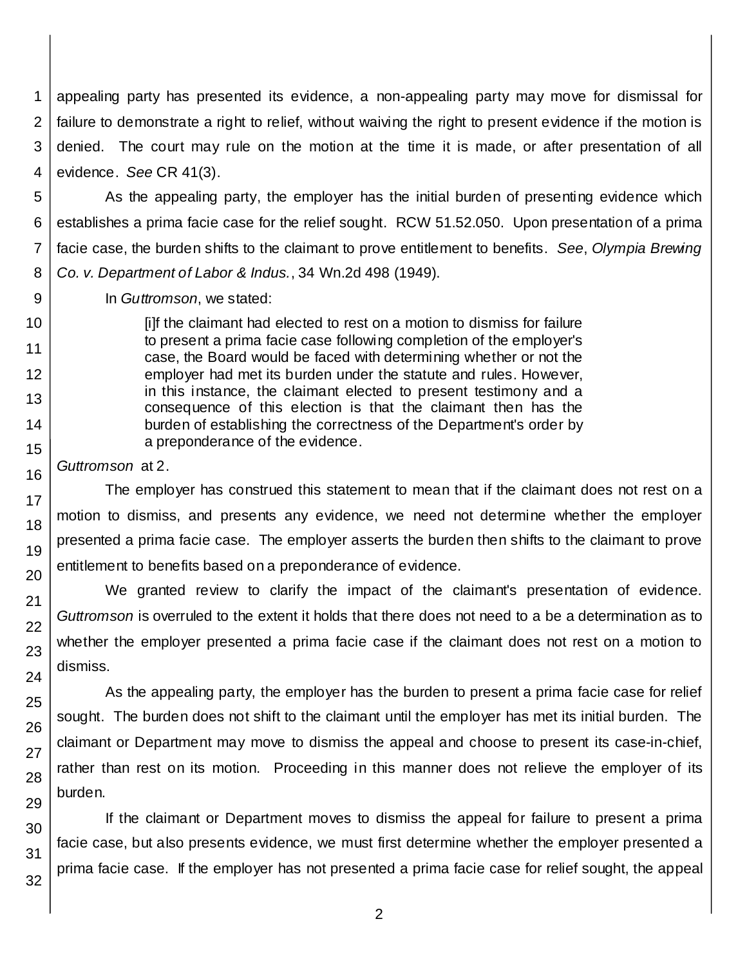1 2 3 4 appealing party has presented its evidence, a non-appealing party may move for dismissal for failure to demonstrate a right to relief, without waiving the right to present evidence if the motion is denied. The court may rule on the motion at the time it is made, or after presentation of all evidence. *See* CR 41(3).

5

6

7

8

9

10

11

12

As the appealing party, the employer has the initial burden of presenting evidence which establishes a prima facie case for the relief sought. RCW 51.52.050. Upon presentation of a prima facie case, the burden shifts to the claimant to prove entitlement to benefits. *See*, *Olympia Brewing Co. v. Department of Labor & Indus.*, 34 Wn.2d 498 (1949).

In *Guttromson*, we stated:

[i]f the claimant had elected to rest on a motion to dismiss for failure to present a prima facie case following completion of the employer's case, the Board would be faced with determining whether or not the employer had met its burden under the statute and rules. However, in this instance, the claimant elected to present testimony and a consequence of this election is that the claimant then has the burden of establishing the correctness of the Department's order by a preponderance of the evidence.

*Guttromson* at 2.

The employer has construed this statement to mean that if the claimant does not rest on a motion to dismiss, and presents any evidence, we need not determine whether the employer presented a prima facie case. The employer asserts the burden then shifts to the claimant to prove entitlement to benefits based on a preponderance of evidence.

We granted review to clarify the impact of the claimant's presentation of evidence. *Guttromson* is overruled to the extent it holds that there does not need to a be a determination as to whether the employer presented a prima facie case if the claimant does not rest on a motion to dismiss.

As the appealing party, the employer has the burden to present a prima facie case for relief sought. The burden does not shift to the claimant until the employer has met its initial burden. The claimant or Department may move to dismiss the appeal and choose to present its case-in-chief, rather than rest on its motion. Proceeding in this manner does not relieve the employer of its burden.

If the claimant or Department moves to dismiss the appeal for failure to present a prima facie case, but also presents evidence, we must first determine whether the employer presented a prima facie case. If the employer has not presented a prima facie case for relief sought, the appeal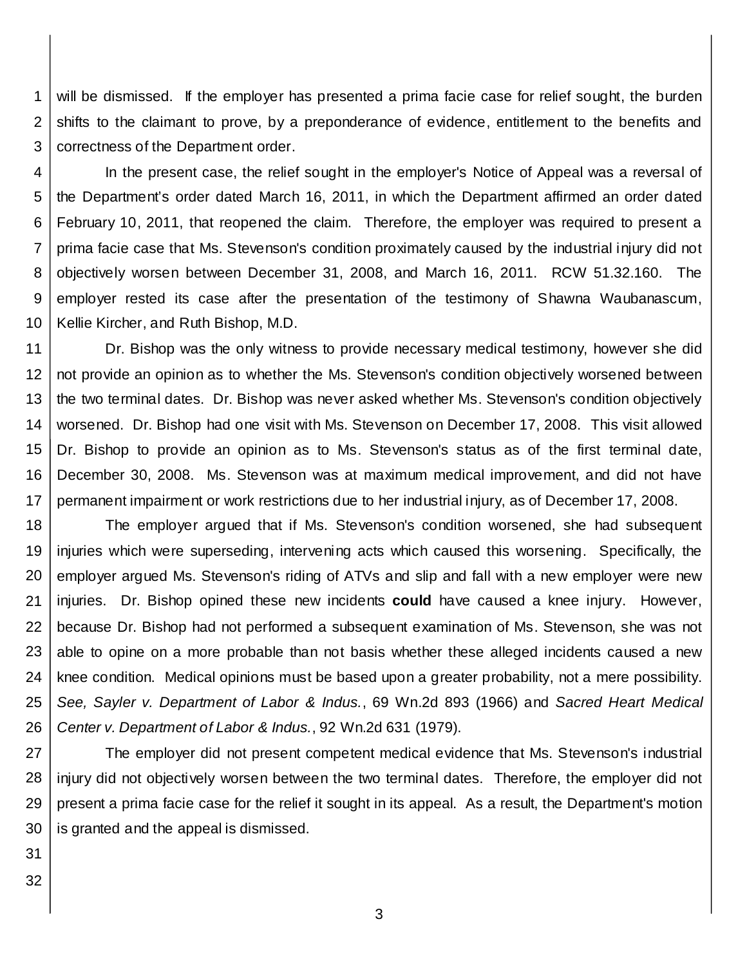1 2 3 will be dismissed. If the employer has presented a prima facie case for relief sought, the burden shifts to the claimant to prove, by a preponderance of evidence, entitlement to the benefits and correctness of the Department order.

4 5 6 7 8 9 10 In the present case, the relief sought in the employer's Notice of Appeal was a reversal of the Department's order dated March 16, 2011, in which the Department affirmed an order dated February 10, 2011, that reopened the claim. Therefore, the employer was required to present a prima facie case that Ms. Stevenson's condition proximately caused by the industrial injury did not objectively worsen between December 31, 2008, and March 16, 2011. RCW 51.32.160. The employer rested its case after the presentation of the testimony of Shawna Waubanascum, Kellie Kircher, and Ruth Bishop, M.D.

11 12 13 14 15 16 17 Dr. Bishop was the only witness to provide necessary medical testimony, however she did not provide an opinion as to whether the Ms. Stevenson's condition objectively worsened between the two terminal dates. Dr. Bishop was never asked whether Ms. Stevenson's condition objectively worsened. Dr. Bishop had one visit with Ms. Stevenson on December 17, 2008. This visit allowed Dr. Bishop to provide an opinion as to Ms. Stevenson's status as of the first terminal date, December 30, 2008. Ms. Stevenson was at maximum medical improvement, and did not have permanent impairment or work restrictions due to her industrial injury, as of December 17, 2008.

18 19 20 21 22 23 24 25 26 The employer argued that if Ms. Stevenson's condition worsened, she had subsequent injuries which were superseding, intervening acts which caused this worsening. Specifically, the employer argued Ms. Stevenson's riding of ATVs and slip and fall with a new employer were new injuries. Dr. Bishop opined these new incidents **could** have caused a knee injury. However, because Dr. Bishop had not performed a subsequent examination of Ms. Stevenson, she was not able to opine on a more probable than not basis whether these alleged incidents caused a new knee condition. Medical opinions must be based upon a greater probability, not a mere possibility. *See, Sayler v. Department of Labor & Indus.*, 69 Wn.2d 893 (1966) and *Sacred Heart Medical Center v. Department of Labor & Indus.*, 92 Wn.2d 631 (1979).

27 28 29 30 The employer did not present competent medical evidence that Ms. Stevenson's industrial injury did not objectively worsen between the two terminal dates. Therefore, the employer did not present a prima facie case for the relief it sought in its appeal. As a result, the Department's motion is granted and the appeal is dismissed.

31

32